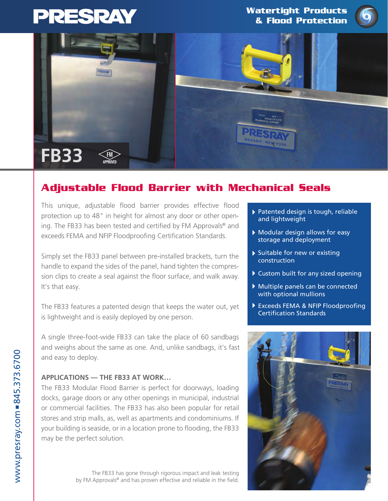

**Watertight Products & Flood Protection**





# **Adjustable Flood Barrier with Mechanical Seals**

This unique, adjustable flood barrier provides effective flood protection up to 48" in height for almost any door or other opening. The FB33 has been tested and certified by FM Approvals® and exceeds FEMA and NFIP Floodproofing Certification Standards.

Simply set the FB33 panel between pre-installed brackets, turn the handle to expand the sides of the panel, hand tighten the compression clips to create a seal against the floor surface, and walk away. It's that easy.

The FB33 features a patented design that keeps the water out, yet is lightweight and is easily deployed by one person.

A single three-foot-wide FB33 can take the place of 60 sandbags and weighs about the same as one. And, unlike sandbags, it's fast and easy to deploy.

### **APPLICATIONS — THE FB33 AT WORK…**

The FB33 Modular Flood Barrier is perfect for doorways, loading docks, garage doors or any other openings in municipal, industrial or commercial facilities. The FB33 has also been popular for retail stores and strip malls, as, well as apartments and condominiums. If your building is seaside, or in a location prone to flooding, the FB33 may be the perfect solution.

> The FB33 has gone through rigorous impact and leak testing by FM Approvals® and has proven effective and reliable in the field.

- Patented design is tough, reliable and lightweight
- Modular design allows for easy storage and deployment
- Suitable for new or existing construction
- Custom built for any sized opening
- Multiple panels can be connected with optional mullions
- Exceeds FEMA & NFIP Floodproofing Certification Standards